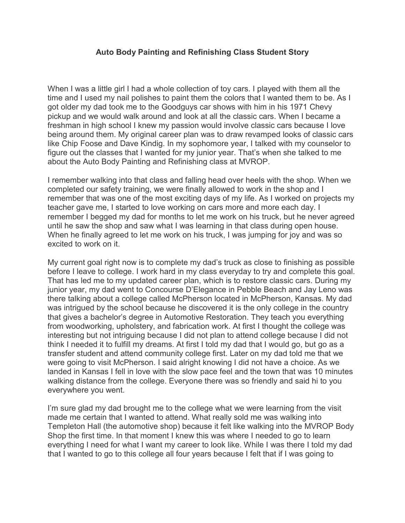## **Auto Body Painting and Refinishing Class Student Story**

When I was a little girl I had a whole collection of toy cars. I played with them all the time and I used my nail polishes to paint them the colors that I wanted them to be. As I got older my dad took me to the Goodguys car shows with him in his 1971 Chevy pickup and we would walk around and look at all the classic cars. When I became a freshman in high school I knew my passion would involve classic cars because I love being around them. My original career plan was to draw revamped looks of classic cars like Chip Foose and Dave Kindig. In my sophomore year, I talked with my counselor to figure out the classes that I wanted for my junior year. That's when she talked to me about the Auto Body Painting and Refinishing class at MVROP.

I remember walking into that class and falling head over heels with the shop. When we completed our safety training, we were finally allowed to work in the shop and I remember that was one of the most exciting days of my life. As I worked on projects my teacher gave me, I started to love working on cars more and more each day. I remember I begged my dad for months to let me work on his truck, but he never agreed until he saw the shop and saw what I was learning in that class during open house. When he finally agreed to let me work on his truck, I was jumping for joy and was so excited to work on it.

My current goal right now is to complete my dad's truck as close to finishing as possible before I leave to college. I work hard in my class everyday to try and complete this goal. That has led me to my updated career plan, which is to restore classic cars. During my junior year, my dad went to Concourse D'Elegance in Pebble Beach and Jay Leno was there talking about a college called McPherson located in McPherson, Kansas. My dad was intrigued by the school because he discovered it is the only college in the country that gives a bachelor's degree in Automotive Restoration. They teach you everything from woodworking, upholstery, and fabrication work. At first I thought the college was interesting but not intriguing because I did not plan to attend college because I did not think I needed it to fulfill my dreams. At first I told my dad that I would go, but go as a transfer student and attend community college first. Later on my dad told me that we were going to visit McPherson. I said alright knowing I did not have a choice. As we landed in Kansas I fell in love with the slow pace feel and the town that was 10 minutes walking distance from the college. Everyone there was so friendly and said hi to you everywhere you went.

I'm sure glad my dad brought me to the college what we were learning from the visit made me certain that I wanted to attend. What really sold me was walking into Templeton Hall (the automotive shop) because it felt like walking into the MVROP Body Shop the first time. In that moment I knew this was where I needed to go to learn everything I need for what I want my career to look like. While I was there I told my dad that I wanted to go to this college all four years because I felt that if I was going to